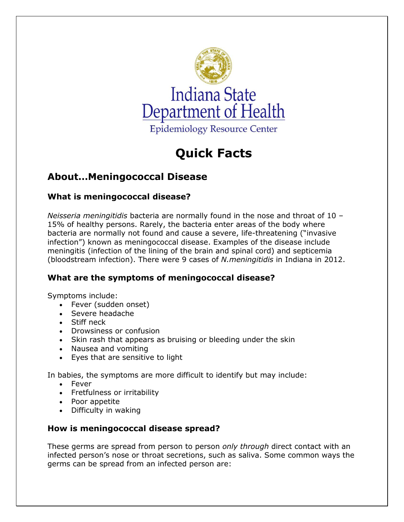

# **Quick Facts**

# **About…Meningococcal Disease**

# **What is meningococcal disease?**

*Neisseria meningitidis* bacteria are normally found in the nose and throat of 10 – 15% of healthy persons. Rarely, the bacteria enter areas of the body where bacteria are normally not found and cause a severe, life-threatening ("invasive infection") known as meningococcal disease. Examples of the disease include meningitis (infection of the lining of the brain and spinal cord) and septicemia (bloodstream infection). There were 9 cases of *N.meningitidis* in Indiana in 2012.

# **What are the symptoms of meningococcal disease?**

Symptoms include:

- Fever (sudden onset)
- Severe headache
- Stiff neck
- Drowsiness or confusion
- Skin rash that appears as bruising or bleeding under the skin
- Nausea and vomiting
- Eyes that are sensitive to light

In babies, the symptoms are more difficult to identify but may include:

- Fever
- Fretfulness or irritability
- Poor appetite
- Difficulty in waking

# **How is meningococcal disease spread?**

These germs are spread from person to person *only through* direct contact with an infected person's nose or throat secretions, such as saliva. Some common ways the germs can be spread from an infected person are: